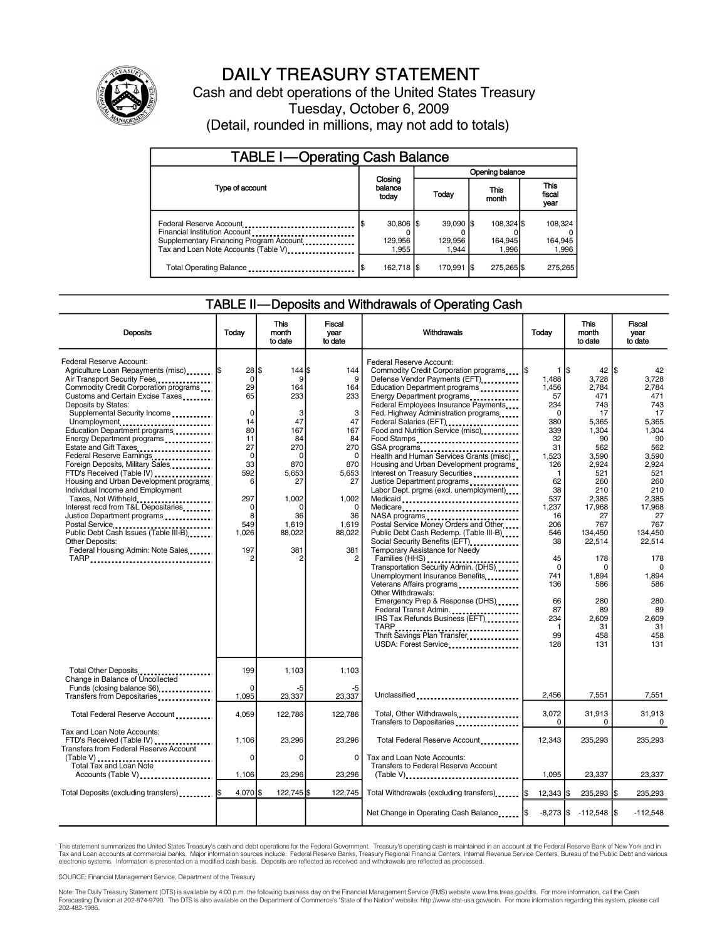

# DAILY TREASURY STATEMENT

Cash and debt operations of the United States Treasury Tuesday, October 6, 2009 (Detail, rounded in millions, may not add to totals)

| <b>TABLE I-Operating Cash Balance</b>                                                                                                       |                                 |                                |                                |                               |  |  |  |
|---------------------------------------------------------------------------------------------------------------------------------------------|---------------------------------|--------------------------------|--------------------------------|-------------------------------|--|--|--|
|                                                                                                                                             |                                 | Opening balance                |                                |                               |  |  |  |
| Type of account                                                                                                                             | Closing<br>balance<br>today     | Today                          | This<br>month                  | <b>This</b><br>fiscal<br>year |  |  |  |
| Federal Reserve Account<br>Financial Institution Account<br>Supplementary Financing Program Account<br>Tax and Loan Note Accounts (Table V) | $30,806$ \$<br>129,956<br>1.955 | $39.090$ S<br>129.956<br>1.944 | 108.324 \$<br>164,945<br>1.996 | 108,324<br>164,945<br>1,996   |  |  |  |
| Total Operating Balance                                                                                                                     | 162,718 \$                      | 170,991 \$                     | 275,265 \$                     | 275,265                       |  |  |  |

## TABLE II—Deposits and Withdrawals of Operating Cash

| <b>Deposits</b>                                                                                                                                                                                                                                                                                                                                                                                                                                                                                                                                                                                                                                                                                                                                  | Today                                                                                                                                                                   | <b>This</b><br>month<br>to date                                                                                                                                 | Fiscal<br>vear<br>to date                                                                                                                                         | Withdrawals                                                                                                                                                                                                                                                                                                                                                                                                                                                                                                                                                                                                                                                                                                                                                                                                                                                                                                                                                                                                                                    | Today                                                                                                                                                                                                                                 | <b>This</b><br>month<br>to date                                                                                                                                                                                                                  | Fiscal<br>year<br>to date                                                                                                                                                                                                                               |
|--------------------------------------------------------------------------------------------------------------------------------------------------------------------------------------------------------------------------------------------------------------------------------------------------------------------------------------------------------------------------------------------------------------------------------------------------------------------------------------------------------------------------------------------------------------------------------------------------------------------------------------------------------------------------------------------------------------------------------------------------|-------------------------------------------------------------------------------------------------------------------------------------------------------------------------|-----------------------------------------------------------------------------------------------------------------------------------------------------------------|-------------------------------------------------------------------------------------------------------------------------------------------------------------------|------------------------------------------------------------------------------------------------------------------------------------------------------------------------------------------------------------------------------------------------------------------------------------------------------------------------------------------------------------------------------------------------------------------------------------------------------------------------------------------------------------------------------------------------------------------------------------------------------------------------------------------------------------------------------------------------------------------------------------------------------------------------------------------------------------------------------------------------------------------------------------------------------------------------------------------------------------------------------------------------------------------------------------------------|---------------------------------------------------------------------------------------------------------------------------------------------------------------------------------------------------------------------------------------|--------------------------------------------------------------------------------------------------------------------------------------------------------------------------------------------------------------------------------------------------|---------------------------------------------------------------------------------------------------------------------------------------------------------------------------------------------------------------------------------------------------------|
| Federal Reserve Account:<br>Agriculture Loan Repayments (misc)  \$<br>Air Transport Security Fees<br>Commodity Credit Corporation programs<br>Customs and Certain Excise Taxes<br>Deposits by States:<br>Supplemental Security Income<br>Unemployment<br>Education Department programs<br>Energy Department programs<br>Estate and Gift Taxes<br>Federal Reserve Earnings<br>Foreign Deposits, Military Sales<br>FTD's Received (Table IV)<br>Housing and Urban Development programs<br>Individual Income and Employment<br>Taxes, Not Withheld<br>Interest recd from T&L Depositaries<br>Justice Department programs<br>Postal Service<br>Public Debt Cash Issues (Table III-B)<br>Other Deposits:<br>Federal Housing Admin: Note Sales<br>TARP | $28$ $\overline{\phantom{1}}$<br>0<br>29<br>65<br>$\Omega$<br>14<br>80<br>11<br>27<br>$\mathbf 0$<br>33<br>592<br>6<br>297<br>$\Omega$<br>8<br>549<br>1,026<br>197<br>2 | 144S<br>9<br>164<br>233<br>3<br>47<br>167<br>84<br>270<br>$\Omega$<br>870<br>5.653<br>27<br>1,002<br>$\Omega$<br>36<br>1,619<br>88,022<br>381<br>$\overline{2}$ | 144<br>9<br>164<br>233<br>3<br>47<br>167<br>84<br>270<br>$\mathbf 0$<br>870<br>5,653<br>27<br>1.002<br>$\Omega$<br>36<br>1,619<br>88,022<br>381<br>$\overline{2}$ | Federal Reserve Account:<br>Commodity Credit Corporation programs<br>Defense Vendor Payments (EFT)<br>Education Department programs<br>Energy Department programs<br><br>Federal Employees Insurance Payments<br>Fed. Highway Administration programs<br>Federal Salaries (EFT)<br><br>Food and Nutrition Service (misc)<br>Food Stamps<br>GSA programs<br>Health and Human Services Grants (misc)<br>Housing and Urban Development programs<br>Interest on Treasury Securities<br>Justice Department programs<br>Labor Dept. prgms (excl. unemployment)<br>Medicaid<br>Medicare<br>Postal Service Money Orders and Other<br>Public Debt Cash Redemp. (Table III-B)<br>Social Security Benefits (EFT)<br>Temporary Assistance for Needy<br>Families (HHS)<br>Transportation Security Admin. (DHS)<br>Unemployment Insurance Benefits<br>Veterans Affairs programs<br>Other Withdrawals:<br>Emergency Prep & Response (DHS)<br>Federal Transit Admin.<br>IRS Tax Refunds Business (EFT)<br>Thrift Savings Plan Transfer<br>USDA: Forest Service | 1 IS<br>1.488<br>1,456<br>57<br>234<br>$\Omega$<br>380<br>339<br>32<br>31<br>1,523<br>126<br>$\mathbf{1}$<br>62<br>38<br>537<br>1,237<br>16<br>206<br>546<br>38<br>45<br>$\Omega$<br>741<br>136<br>66<br>87<br>234<br>-1<br>99<br>128 | 42<br>3.728<br>2,784<br>471<br>743<br>17<br>5.365<br>1.304<br>90<br>562<br>3,590<br>2.924<br>521<br>260<br>210<br>2.385<br>17,968<br>27<br>767<br>134,450<br>22,514<br>178<br>$\Omega$<br>1.894<br>586<br>280<br>89<br>2,609<br>31<br>458<br>131 | I\$<br>42<br>3.728<br>2,784<br>471<br>743<br>17<br>5.365<br>1.304<br>90<br>562<br>3,590<br>2.924<br>521<br>260<br>210<br>2.385<br>17.968<br>27<br>767<br>134.450<br>22,514<br>178<br>$\Omega$<br>1.894<br>586<br>280<br>89<br>2.609<br>31<br>458<br>131 |
| Total Other Deposits<br>Change in Balance of Uncollected<br>Funds (closing balance \$6)                                                                                                                                                                                                                                                                                                                                                                                                                                                                                                                                                                                                                                                          | 199<br>$\Omega$                                                                                                                                                         | 1,103<br>-5                                                                                                                                                     | 1,103<br>-5                                                                                                                                                       |                                                                                                                                                                                                                                                                                                                                                                                                                                                                                                                                                                                                                                                                                                                                                                                                                                                                                                                                                                                                                                                |                                                                                                                                                                                                                                       |                                                                                                                                                                                                                                                  |                                                                                                                                                                                                                                                         |
| Transfers from Depositaries                                                                                                                                                                                                                                                                                                                                                                                                                                                                                                                                                                                                                                                                                                                      | 1.095                                                                                                                                                                   | 23,337                                                                                                                                                          | 23.337                                                                                                                                                            | Unclassified                                                                                                                                                                                                                                                                                                                                                                                                                                                                                                                                                                                                                                                                                                                                                                                                                                                                                                                                                                                                                                   | 2,456                                                                                                                                                                                                                                 | 7,551                                                                                                                                                                                                                                            | 7,551                                                                                                                                                                                                                                                   |
| Total Federal Reserve Account                                                                                                                                                                                                                                                                                                                                                                                                                                                                                                                                                                                                                                                                                                                    | 4.059                                                                                                                                                                   | 122,786                                                                                                                                                         | 122.786                                                                                                                                                           | Total, Other Withdrawals<br>Transfers to Depositaries                                                                                                                                                                                                                                                                                                                                                                                                                                                                                                                                                                                                                                                                                                                                                                                                                                                                                                                                                                                          | 3.072<br>0                                                                                                                                                                                                                            | 31.913<br>0                                                                                                                                                                                                                                      | 31.913<br>0                                                                                                                                                                                                                                             |
| Tax and Loan Note Accounts:<br>FTD's Received (Table IV)<br><b>Transfers from Federal Reserve Account</b>                                                                                                                                                                                                                                                                                                                                                                                                                                                                                                                                                                                                                                        | 1,106                                                                                                                                                                   | 23,296                                                                                                                                                          | 23,296                                                                                                                                                            | Total Federal Reserve Account                                                                                                                                                                                                                                                                                                                                                                                                                                                                                                                                                                                                                                                                                                                                                                                                                                                                                                                                                                                                                  | 12,343                                                                                                                                                                                                                                | 235,293                                                                                                                                                                                                                                          | 235,293                                                                                                                                                                                                                                                 |
| (Table V)<br><br>Total Tax and Loan Note<br>Accounts (Table V)                                                                                                                                                                                                                                                                                                                                                                                                                                                                                                                                                                                                                                                                                   | $\mathbf 0$<br>1,106                                                                                                                                                    | 0<br>23,296                                                                                                                                                     | $\Omega$<br>23.296                                                                                                                                                | Tax and Loan Note Accounts:<br><b>Transfers to Federal Reserve Account</b><br>(Table V)                                                                                                                                                                                                                                                                                                                                                                                                                                                                                                                                                                                                                                                                                                                                                                                                                                                                                                                                                        | 1.095                                                                                                                                                                                                                                 | 23,337                                                                                                                                                                                                                                           | 23,337                                                                                                                                                                                                                                                  |
| Total Deposits (excluding transfers)  \$                                                                                                                                                                                                                                                                                                                                                                                                                                                                                                                                                                                                                                                                                                         | $4.070$ S                                                                                                                                                               | 122.745 \$                                                                                                                                                      | 122.745                                                                                                                                                           | Total Withdrawals (excluding transfers) I\$                                                                                                                                                                                                                                                                                                                                                                                                                                                                                                                                                                                                                                                                                                                                                                                                                                                                                                                                                                                                    | $12,343$ $\frac{1}{3}$                                                                                                                                                                                                                | 235,293 \$                                                                                                                                                                                                                                       | 235,293                                                                                                                                                                                                                                                 |
|                                                                                                                                                                                                                                                                                                                                                                                                                                                                                                                                                                                                                                                                                                                                                  |                                                                                                                                                                         |                                                                                                                                                                 |                                                                                                                                                                   | Net Change in Operating Cash Balance  \$                                                                                                                                                                                                                                                                                                                                                                                                                                                                                                                                                                                                                                                                                                                                                                                                                                                                                                                                                                                                       |                                                                                                                                                                                                                                       | $-8,273$ \$ $-112,548$ \$                                                                                                                                                                                                                        | $-112,548$                                                                                                                                                                                                                                              |

This statement summarizes the United States Treasury's cash and debt operations for the Federal Government. Treasury's operating cash is maintained in an account at the Federal Reserve Bank of New York and in Tax and Loan accounts at commercial banks. Major information sources include: Federal Reserve Banks, Treasury Regional Financial Centers, Internal Revenue Service Centers, Bureau of the Public Debt and various<br>electronic s

SOURCE: Financial Management Service, Department of the Treasury

Note: The Daily Treasury Statement (DTS) is available by 4:00 p.m. the following business day on the Financial Management Service (FMS) website www.fms.treas.gov/dts. For more information, call the Cash<br>Forecasting Divisio 202-482-1986.